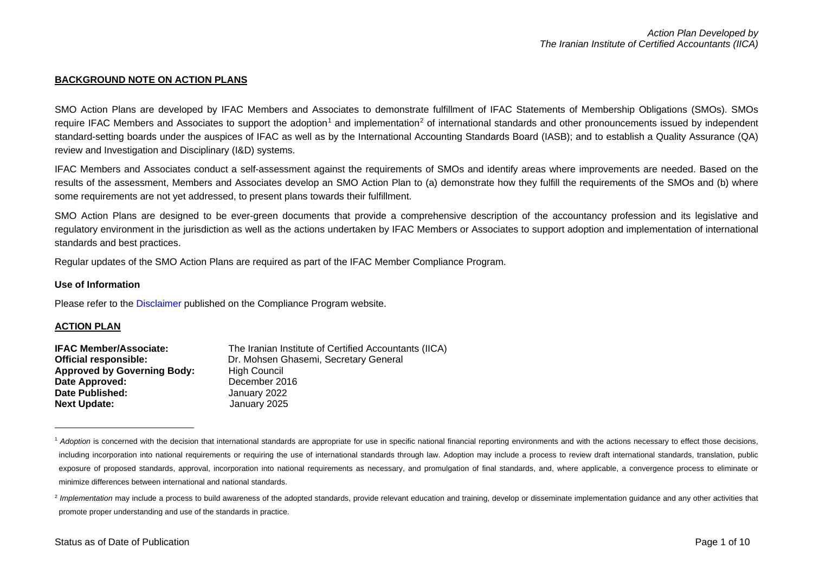### <span id="page-0-1"></span><span id="page-0-0"></span>**BACKGROUND NOTE ON ACTION PLANS**

SMO Action Plans are developed by IFAC Members and Associates to demonstrate fulfillment of IFAC Statements of Membership Obligations (SMOs). SMOs require IFAC Members and Associates to support the adoption<sup>[1](#page-0-0)</sup> and implementation<sup>[2](#page-0-1)</sup> of international standards and other pronouncements issued by independent standard-setting boards under the auspices of IFAC as well as by the International Accounting Standards Board (IASB); and to establish a Quality Assurance (QA) review and Investigation and Disciplinary (I&D) systems.

IFAC Members and Associates conduct a self-assessment against the requirements of SMOs and identify areas where improvements are needed. Based on the results of the assessment, Members and Associates develop an SMO Action Plan to (a) demonstrate how they fulfill the requirements of the SMOs and (b) where some requirements are not yet addressed, to present plans towards their fulfillment.

SMO Action Plans are designed to be ever-green documents that provide a comprehensive description of the accountancy profession and its legislative and regulatory environment in the jurisdiction as well as the actions undertaken by IFAC Members or Associates to support adoption and implementation of international standards and best practices.

Regular updates of the SMO Action Plans are required as part of the IFAC Member Compliance Program.

#### **Use of Information**

Please refer to the [Disclaimer](http://www.ifac.org/about-ifac/membership/members/disclaimer) published on the Compliance Program website.

#### **ACTION PLAN**

| <b>IFAC Member/Associate:</b>      | The Iranian Institute of Certified Accountants (IICA) |
|------------------------------------|-------------------------------------------------------|
| <b>Official responsible:</b>       | Dr. Mohsen Ghasemi, Secretary General                 |
| <b>Approved by Governing Body:</b> | High Council                                          |
| Date Approved:                     | December 2016                                         |
| <b>Date Published:</b>             | January 2022                                          |
| <b>Next Update:</b>                | January 2025                                          |

<sup>&</sup>lt;sup>1</sup> Adoption is concerned with the decision that international standards are appropriate for use in specific national financial reporting environments and with the actions necessary to effect those decisions, including incorporation into national requirements or requiring the use of international standards through law. Adoption may include a process to review draft international standards, translation, public exposure of proposed standards, approval, incorporation into national requirements as necessary, and promulgation of final standards, and, where applicable, a convergence process to eliminate or minimize differences between international and national standards.

<sup>&</sup>lt;sup>2</sup> Implementation may include a process to build awareness of the adopted standards, provide relevant education and training, develop or disseminate implementation quidance and any other activities that promote proper understanding and use of the standards in practice.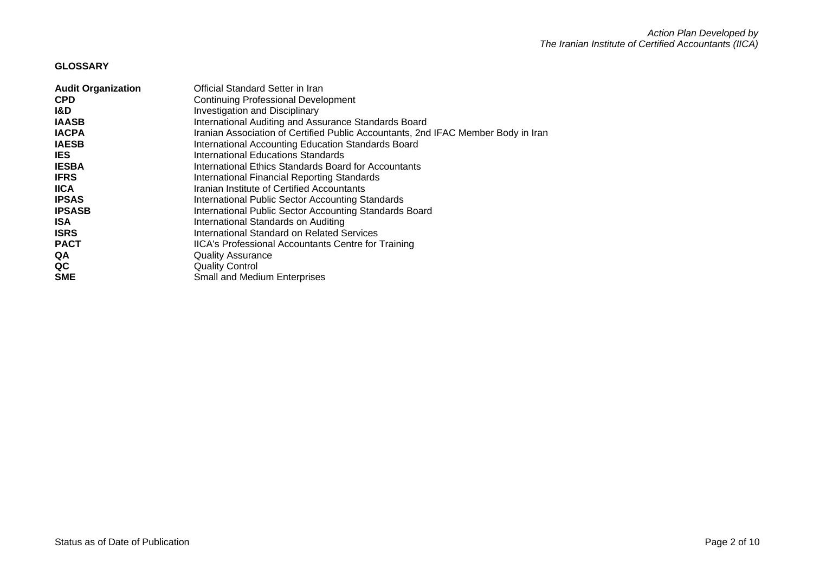# **GLOSSARY**

| <b>Audit Organization</b> | Official Standard Setter in Iran                                                  |
|---------------------------|-----------------------------------------------------------------------------------|
| <b>CPD</b>                | Continuing Professional Development                                               |
| 1&D.                      | <b>Investigation and Disciplinary</b>                                             |
| <b>IAASB</b>              | International Auditing and Assurance Standards Board                              |
| <b>IACPA</b>              | Iranian Association of Certified Public Accountants, 2nd IFAC Member Body in Iran |
| <b>IAESB</b>              | International Accounting Education Standards Board                                |
| <b>IES</b>                | International Educations Standards                                                |
| <b>IESBA</b>              | International Ethics Standards Board for Accountants                              |
| <b>IFRS</b>               | International Financial Reporting Standards                                       |
| <b>IICA</b>               | Iranian Institute of Certified Accountants                                        |
| <b>IPSAS</b>              | International Public Sector Accounting Standards                                  |
| <b>IPSASB</b>             | International Public Sector Accounting Standards Board                            |
| <b>ISA</b>                | International Standards on Auditing                                               |
| <b>ISRS</b>               | International Standard on Related Services                                        |
| <b>PACT</b>               | IICA's Professional Accountants Centre for Training                               |
| QA                        | <b>Quality Assurance</b>                                                          |
| QC                        | <b>Quality Control</b>                                                            |
| <b>SME</b>                | <b>Small and Medium Enterprises</b>                                               |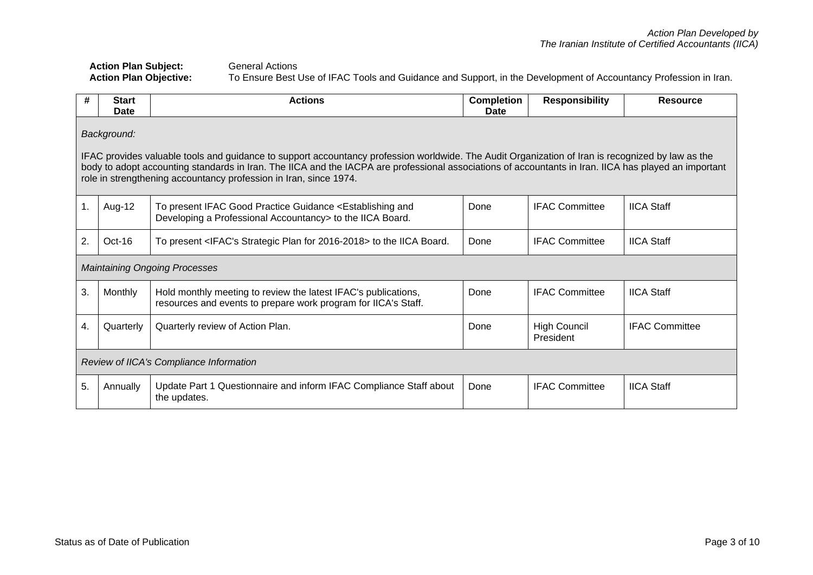# Action Plan Subject: General Actions<br>**Action Plan Objective:** To Ensure Best **Action Plan Objective:** To Ensure Best Use of IFAC Tools and Guidance and Support, in the Development of Accountancy Profession in Iran.

|               | <b>Start</b><br>Date                                                                                                                                                                                                                                                                                                                                                                           | <b>Actions</b>                                                                                                                              | <b>Completion</b><br>Date | <b>Responsibility</b>            | <b>Resource</b>       |  |  |
|---------------|------------------------------------------------------------------------------------------------------------------------------------------------------------------------------------------------------------------------------------------------------------------------------------------------------------------------------------------------------------------------------------------------|---------------------------------------------------------------------------------------------------------------------------------------------|---------------------------|----------------------------------|-----------------------|--|--|
|               | Background:<br>IFAC provides valuable tools and guidance to support accountancy profession worldwide. The Audit Organization of Iran is recognized by law as the<br>body to adopt accounting standards in Iran. The IICA and the IACPA are professional associations of accountants in Iran. IICA has played an important<br>role in strengthening accountancy profession in Iran, since 1974. |                                                                                                                                             |                           |                                  |                       |  |  |
| $\mathbf 1$ . | Aug-12                                                                                                                                                                                                                                                                                                                                                                                         | To present IFAC Good Practice Guidance <establishing and<br="">Developing a Professional Accountancy &gt; to the IICA Board.</establishing> | Done                      | <b>IFAC Committee</b>            | <b>IICA Staff</b>     |  |  |
| 2.            | $Oct-16$                                                                                                                                                                                                                                                                                                                                                                                       | To present <ifac's 2016-2018="" for="" plan="" strategic=""> to the IICA Board.</ifac's>                                                    | Done                      | <b>IFAC Committee</b>            | <b>IICA Staff</b>     |  |  |
|               |                                                                                                                                                                                                                                                                                                                                                                                                | <b>Maintaining Ongoing Processes</b>                                                                                                        |                           |                                  |                       |  |  |
| 3.            | Monthly                                                                                                                                                                                                                                                                                                                                                                                        | Hold monthly meeting to review the latest IFAC's publications,<br>resources and events to prepare work program for IICA's Staff.            | Done                      | <b>IFAC Committee</b>            | <b>IICA Staff</b>     |  |  |
| 4.            | Quarterly                                                                                                                                                                                                                                                                                                                                                                                      | Quarterly review of Action Plan.                                                                                                            | Done                      | <b>High Council</b><br>President | <b>IFAC Committee</b> |  |  |
|               | Review of IICA's Compliance Information                                                                                                                                                                                                                                                                                                                                                        |                                                                                                                                             |                           |                                  |                       |  |  |
| 5.            | Annually                                                                                                                                                                                                                                                                                                                                                                                       | Update Part 1 Questionnaire and inform IFAC Compliance Staff about<br>the updates.                                                          | Done                      | <b>IFAC Committee</b>            | <b>IICA Staff</b>     |  |  |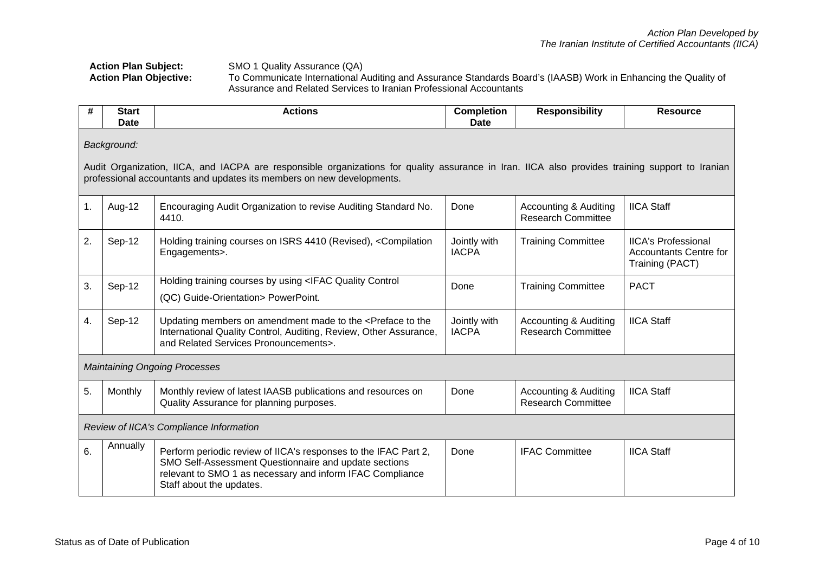### Action Plan Subject: SMO 1 Quality Assurance (QA)<br>Action Plan Objective: To Communicate International A **Action Plan Objective:** To Communicate International Auditing and Assurance Standards Board's (IAASB) Work in Enhancing the Quality of Assurance and Related Services to Iranian Professional Accountants

| #  | <b>Start</b><br><b>Date</b>                                                                                                                                                                                                             | <b>Actions</b>                                                                                                                                                                                                    | <b>Completion</b><br>Date    | <b>Responsibility</b>                                         | <b>Resource</b>                                                                |  |  |
|----|-----------------------------------------------------------------------------------------------------------------------------------------------------------------------------------------------------------------------------------------|-------------------------------------------------------------------------------------------------------------------------------------------------------------------------------------------------------------------|------------------------------|---------------------------------------------------------------|--------------------------------------------------------------------------------|--|--|
|    | Background:<br>Audit Organization, IICA, and IACPA are responsible organizations for quality assurance in Iran. IICA also provides training support to Iranian<br>professional accountants and updates its members on new developments. |                                                                                                                                                                                                                   |                              |                                                               |                                                                                |  |  |
| 1. | Aug-12                                                                                                                                                                                                                                  | Encouraging Audit Organization to revise Auditing Standard No.<br>4410.                                                                                                                                           | Done                         | Accounting & Auditing<br><b>Research Committee</b>            | <b>IICA Staff</b>                                                              |  |  |
| 2. | Sep-12                                                                                                                                                                                                                                  | Holding training courses on ISRS 4410 (Revised), <compilation<br>Engagements&gt;.</compilation<br>                                                                                                                | Jointly with<br><b>IACPA</b> | <b>Training Committee</b>                                     | <b>IICA's Professional</b><br><b>Accountants Centre for</b><br>Training (PACT) |  |  |
| 3. | Sep-12                                                                                                                                                                                                                                  | Holding training courses by using <ifac control<br="" quality="">(QC) Guide-Orientation&gt; PowerPoint.</ifac>                                                                                                    | Done                         | <b>Training Committee</b>                                     | <b>PACT</b>                                                                    |  |  |
| 4. | Sep-12                                                                                                                                                                                                                                  | Updating members on amendment made to the <preface the<br="" to="">International Quality Control, Auditing, Review, Other Assurance,<br/>and Related Services Pronouncements&gt;.</preface>                       | Jointly with<br><b>IACPA</b> | <b>Accounting &amp; Auditing</b><br><b>Research Committee</b> | <b>IICA Staff</b>                                                              |  |  |
|    |                                                                                                                                                                                                                                         | <b>Maintaining Ongoing Processes</b>                                                                                                                                                                              |                              |                                                               |                                                                                |  |  |
| 5. | Monthly                                                                                                                                                                                                                                 | Monthly review of latest IAASB publications and resources on<br>Quality Assurance for planning purposes.                                                                                                          | Done                         | <b>Accounting &amp; Auditing</b><br><b>Research Committee</b> | <b>IICA Staff</b>                                                              |  |  |
|    | Review of IICA's Compliance Information                                                                                                                                                                                                 |                                                                                                                                                                                                                   |                              |                                                               |                                                                                |  |  |
| 6. | Annually                                                                                                                                                                                                                                | Perform periodic review of IICA's responses to the IFAC Part 2,<br>SMO Self-Assessment Questionnaire and update sections<br>relevant to SMO 1 as necessary and inform IFAC Compliance<br>Staff about the updates. | Done                         | <b>IFAC Committee</b>                                         | <b>IICA Staff</b>                                                              |  |  |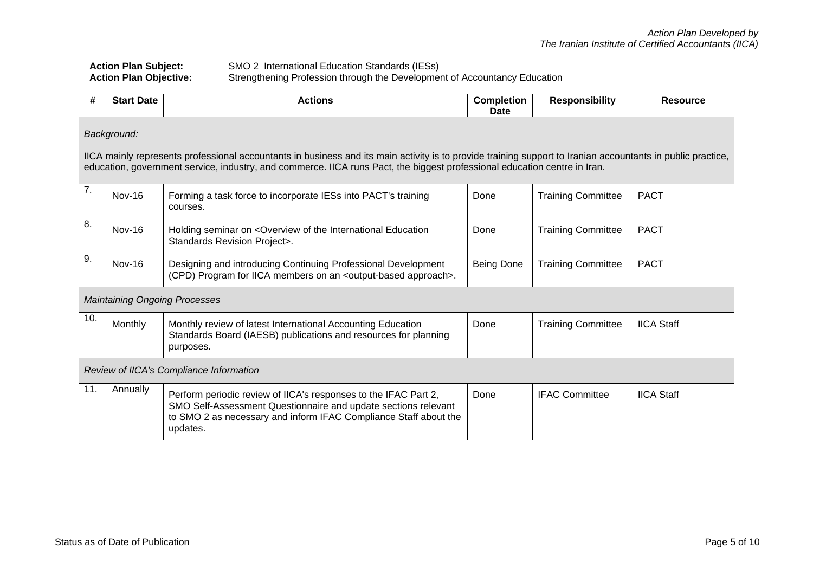# Action Plan Subject: SMO 2 International Education Standards (IESs)<br>Action Plan Objective: Strengthening Profession through the Developmer Strengthening Profession through the Development of Accountancy Education

|     | <b>Start Date</b>                       | <b>Actions</b>                                                                                                                                                                                                                                                                           | <b>Completion</b><br><b>Date</b> | <b>Responsibility</b>     | <b>Resource</b>   |  |  |
|-----|-----------------------------------------|------------------------------------------------------------------------------------------------------------------------------------------------------------------------------------------------------------------------------------------------------------------------------------------|----------------------------------|---------------------------|-------------------|--|--|
|     | Background:                             |                                                                                                                                                                                                                                                                                          |                                  |                           |                   |  |  |
|     |                                         | IICA mainly represents professional accountants in business and its main activity is to provide training support to Iranian accountants in public practice,<br>education, government service, industry, and commerce. IICA runs Pact, the biggest professional education centre in Iran. |                                  |                           |                   |  |  |
| 7.  | <b>Nov-16</b>                           | Forming a task force to incorporate IESs into PACT's training<br>courses.                                                                                                                                                                                                                | Done                             | <b>Training Committee</b> | <b>PACT</b>       |  |  |
| 8.  | Nov-16                                  | Holding seminar on <overview education<br="" international="" of="" the="">Standards Revision Project&gt;.</overview>                                                                                                                                                                    | Done                             | <b>Training Committee</b> | <b>PACT</b>       |  |  |
| 9.  | Nov-16                                  | Designing and introducing Continuing Professional Development<br>(CPD) Program for IICA members on an <output-based approach="">.</output-based>                                                                                                                                         | <b>Being Done</b>                | <b>Training Committee</b> | <b>PACT</b>       |  |  |
|     |                                         | <b>Maintaining Ongoing Processes</b>                                                                                                                                                                                                                                                     |                                  |                           |                   |  |  |
| 10. | Monthly                                 | Monthly review of latest International Accounting Education<br>Standards Board (IAESB) publications and resources for planning<br>purposes.                                                                                                                                              | Done                             | <b>Training Committee</b> | <b>IICA Staff</b> |  |  |
|     | Review of IICA's Compliance Information |                                                                                                                                                                                                                                                                                          |                                  |                           |                   |  |  |
| 11. | Annually                                | Perform periodic review of IICA's responses to the IFAC Part 2,<br>SMO Self-Assessment Questionnaire and update sections relevant<br>to SMO 2 as necessary and inform IFAC Compliance Staff about the<br>updates.                                                                        | Done                             | <b>IFAC Committee</b>     | <b>IICA Staff</b> |  |  |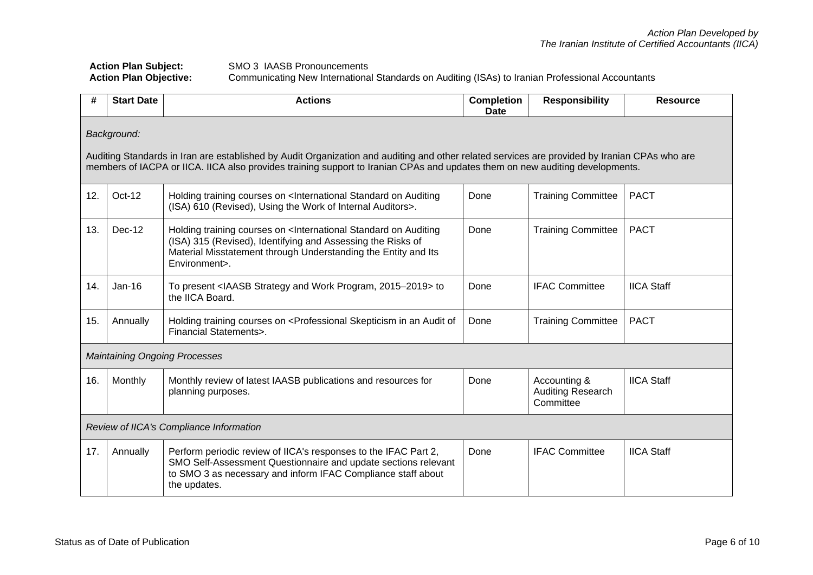# Action Plan Subject: SMO 3 IAASB Pronouncements<br>Action Plan Objective: Communicating New International **Action Plan Objective:** Communicating New International Standards on Auditing (ISAs) to Iranian Professional Accountants

| #   | <b>Start Date</b>                       | <b>Actions</b>                                                                                                                                                                                                                                                                | <b>Completion</b><br>Date | <b>Responsibility</b>                                 | <b>Resource</b>   |  |  |
|-----|-----------------------------------------|-------------------------------------------------------------------------------------------------------------------------------------------------------------------------------------------------------------------------------------------------------------------------------|---------------------------|-------------------------------------------------------|-------------------|--|--|
|     | Background:                             |                                                                                                                                                                                                                                                                               |                           |                                                       |                   |  |  |
|     |                                         | Auditing Standards in Iran are established by Audit Organization and auditing and other related services are provided by Iranian CPAs who are<br>members of IACPA or IICA. IICA also provides training support to Iranian CPAs and updates them on new auditing developments. |                           |                                                       |                   |  |  |
| 12. | Oct-12                                  | Holding training courses on <international auditing<br="" on="" standard="">(ISA) 610 (Revised), Using the Work of Internal Auditors&gt;.</international>                                                                                                                     | Done                      | <b>Training Committee</b>                             | <b>PACT</b>       |  |  |
| 13. | Dec-12                                  | Holding training courses on <international auditing<br="" on="" standard="">(ISA) 315 (Revised), Identifying and Assessing the Risks of<br/>Material Misstatement through Understanding the Entity and Its<br/>Environment&gt;.</international>                               | Done                      | <b>Training Committee</b>                             | <b>PACT</b>       |  |  |
| 14. | $Jan-16$                                | To present <iaasb 2015-2019="" and="" program,="" strategy="" work=""> to<br/>the IICA Board.</iaasb>                                                                                                                                                                         | Done                      | <b>IFAC Committee</b>                                 | <b>IICA Staff</b> |  |  |
| 15. | Annually                                | Holding training courses on <professional an="" audit="" in="" of<br="" skepticism="">Financial Statements&gt;.</professional>                                                                                                                                                | Done                      | <b>Training Committee</b>                             | <b>PACT</b>       |  |  |
|     |                                         | <b>Maintaining Ongoing Processes</b>                                                                                                                                                                                                                                          |                           |                                                       |                   |  |  |
| 16. | Monthly                                 | Monthly review of latest IAASB publications and resources for<br>planning purposes.                                                                                                                                                                                           | Done                      | Accounting &<br><b>Auditing Research</b><br>Committee | <b>IICA Staff</b> |  |  |
|     | Review of IICA's Compliance Information |                                                                                                                                                                                                                                                                               |                           |                                                       |                   |  |  |
| 17. | Annually                                | Perform periodic review of IICA's responses to the IFAC Part 2,<br>SMO Self-Assessment Questionnaire and update sections relevant<br>to SMO 3 as necessary and inform IFAC Compliance staff about<br>the updates.                                                             | Done                      | <b>IFAC Committee</b>                                 | <b>IICA Staff</b> |  |  |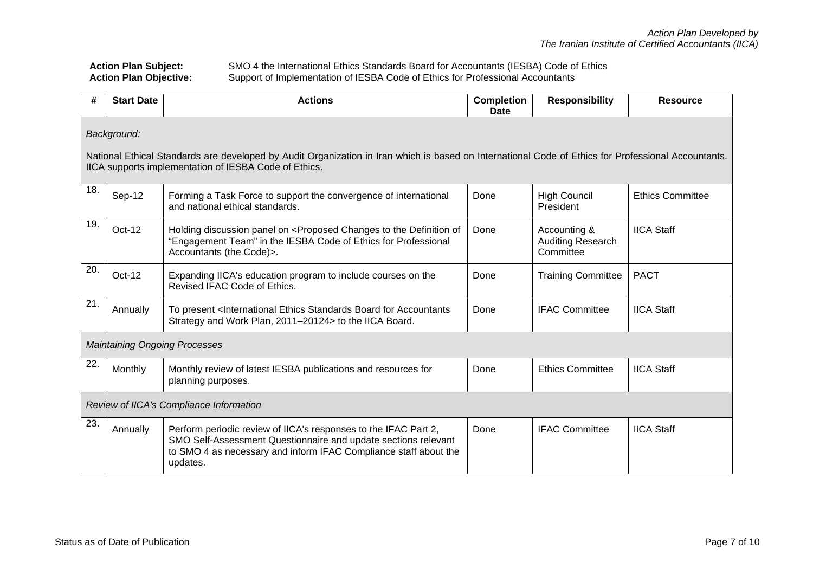# Action Plan Subject: SMO 4 the International Ethics Standards Board for Accountants (IESBA) Code of Ethics<br>Action Plan Objective: Support of Implementation of IESBA Code of Ethics for Professional Accountants Support of Implementation of IESBA Code of Ethics for Professional Accountants

|     | <b>Start Date</b>                                                                                                                                                                                            | <b>Actions</b>                                                                                                                                                                                                    | <b>Completion</b><br>Date | <b>Responsibility</b>                                 | <b>Resource</b>         |  |  |  |
|-----|--------------------------------------------------------------------------------------------------------------------------------------------------------------------------------------------------------------|-------------------------------------------------------------------------------------------------------------------------------------------------------------------------------------------------------------------|---------------------------|-------------------------------------------------------|-------------------------|--|--|--|
|     | Background:                                                                                                                                                                                                  |                                                                                                                                                                                                                   |                           |                                                       |                         |  |  |  |
|     | National Ethical Standards are developed by Audit Organization in Iran which is based on International Code of Ethics for Professional Accountants.<br>IICA supports implementation of IESBA Code of Ethics. |                                                                                                                                                                                                                   |                           |                                                       |                         |  |  |  |
| 18. | Sep-12                                                                                                                                                                                                       | Forming a Task Force to support the convergence of international<br>and national ethical standards.                                                                                                               | Done                      | <b>High Council</b><br>President                      | <b>Ethics Committee</b> |  |  |  |
| 19. | Oct-12                                                                                                                                                                                                       | Holding discussion panel on <proposed changes="" definition="" of<br="" the="" to="">"Engagement Team" in the IESBA Code of Ethics for Professional<br/>Accountants (the Code)&gt;.</proposed>                    | Done                      | Accounting &<br><b>Auditing Research</b><br>Committee | <b>IICA Staff</b>       |  |  |  |
| 20. | Oct-12                                                                                                                                                                                                       | Expanding IICA's education program to include courses on the<br>Revised IFAC Code of Ethics.                                                                                                                      | Done                      | <b>Training Committee</b>                             | <b>PACT</b>             |  |  |  |
| 21. | Annually                                                                                                                                                                                                     | To present <international accountants<br="" board="" ethics="" for="" standards="">Strategy and Work Plan, 2011-20124&gt; to the IICA Board.</international>                                                      | Done                      | <b>IFAC Committee</b>                                 | <b>IICA Staff</b>       |  |  |  |
|     |                                                                                                                                                                                                              | <b>Maintaining Ongoing Processes</b>                                                                                                                                                                              |                           |                                                       |                         |  |  |  |
| 22. | Monthly                                                                                                                                                                                                      | Monthly review of latest IESBA publications and resources for<br>planning purposes.                                                                                                                               | Done                      | <b>Ethics Committee</b>                               | <b>IICA Staff</b>       |  |  |  |
|     | Review of IICA's Compliance Information                                                                                                                                                                      |                                                                                                                                                                                                                   |                           |                                                       |                         |  |  |  |
| 23. | Annually                                                                                                                                                                                                     | Perform periodic review of IICA's responses to the IFAC Part 2,<br>SMO Self-Assessment Questionnaire and update sections relevant<br>to SMO 4 as necessary and inform IFAC Compliance staff about the<br>updates. | Done                      | <b>IFAC Committee</b>                                 | <b>IICA Staff</b>       |  |  |  |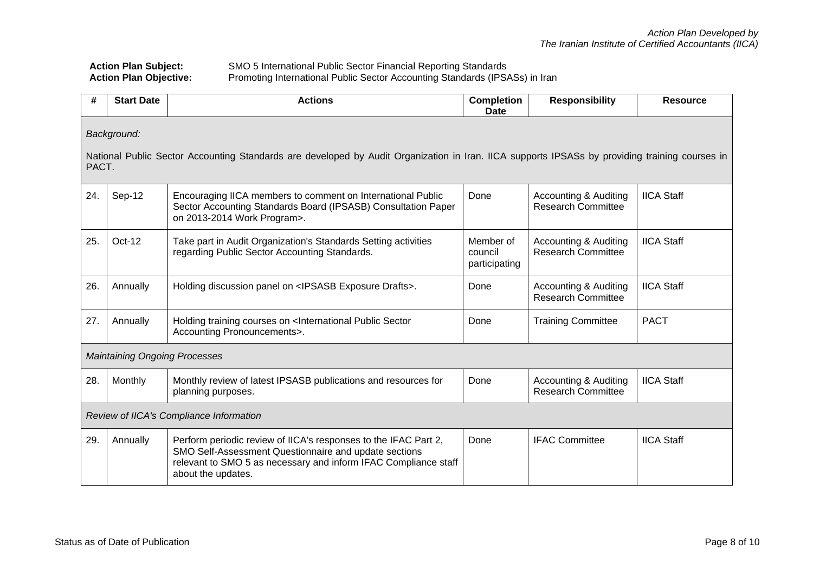# Action Plan Subject: SMO 5 International Public Sector Financial Reporting Standards<br>Action Plan Objective: Promoting International Public Sector Accounting Standards (IPS Promoting International Public Sector Accounting Standards (IPSASs) in Iran

| #   | <b>Start Date</b>                                                                                                                                       | <b>Actions</b>                                                                                                                                                                                                    | <b>Completion</b><br><b>Date</b>      | <b>Responsibility</b>                                         | <b>Resource</b>   |  |  |  |
|-----|---------------------------------------------------------------------------------------------------------------------------------------------------------|-------------------------------------------------------------------------------------------------------------------------------------------------------------------------------------------------------------------|---------------------------------------|---------------------------------------------------------------|-------------------|--|--|--|
|     | Background:                                                                                                                                             |                                                                                                                                                                                                                   |                                       |                                                               |                   |  |  |  |
|     | National Public Sector Accounting Standards are developed by Audit Organization in Iran. IICA supports IPSASs by providing training courses in<br>PACT. |                                                                                                                                                                                                                   |                                       |                                                               |                   |  |  |  |
| 24. | Sep-12                                                                                                                                                  | Encouraging IICA members to comment on International Public<br>Sector Accounting Standards Board (IPSASB) Consultation Paper<br>on 2013-2014 Work Program>.                                                       | Done                                  | Accounting & Auditing<br><b>Research Committee</b>            | <b>IICA Staff</b> |  |  |  |
| 25. | Oct-12                                                                                                                                                  | Take part in Audit Organization's Standards Setting activities<br>regarding Public Sector Accounting Standards.                                                                                                   | Member of<br>council<br>participating | Accounting & Auditing<br><b>Research Committee</b>            | <b>IICA Staff</b> |  |  |  |
| 26. | Annually                                                                                                                                                | Holding discussion panel on <ipsasb drafts="" exposure="">.</ipsasb>                                                                                                                                              | Done                                  | Accounting & Auditing<br><b>Research Committee</b>            | <b>IICA Staff</b> |  |  |  |
| 27. | Annually                                                                                                                                                | Holding training courses on <international public="" sector<br="">Accounting Pronouncements&gt;.</international>                                                                                                  | Done                                  | <b>Training Committee</b>                                     | <b>PACT</b>       |  |  |  |
|     | <b>Maintaining Ongoing Processes</b>                                                                                                                    |                                                                                                                                                                                                                   |                                       |                                                               |                   |  |  |  |
| 28. | Monthly                                                                                                                                                 | Monthly review of latest IPSASB publications and resources for<br>planning purposes.                                                                                                                              | Done                                  | <b>Accounting &amp; Auditing</b><br><b>Research Committee</b> | <b>IICA Staff</b> |  |  |  |
|     | Review of IICA's Compliance Information                                                                                                                 |                                                                                                                                                                                                                   |                                       |                                                               |                   |  |  |  |
| 29. | Annually                                                                                                                                                | Perform periodic review of IICA's responses to the IFAC Part 2,<br>SMO Self-Assessment Questionnaire and update sections<br>relevant to SMO 5 as necessary and inform IFAC Compliance staff<br>about the updates. | Done                                  | <b>IFAC Committee</b>                                         | <b>IICA Staff</b> |  |  |  |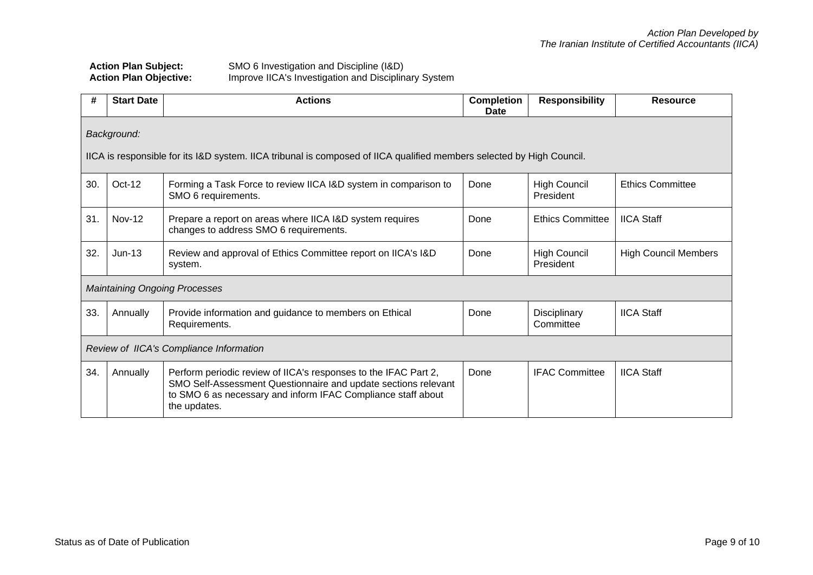| <b>Action Plan Subject:</b>   | SMO 6 Investigation and Discipline (I&D)             |
|-------------------------------|------------------------------------------------------|
| <b>Action Plan Objective:</b> | Improve IICA's Investigation and Disciplinary System |

|                                         | <b>Start Date</b>                                                                                                     | <b>Actions</b>                                                                                                                                                                                                    | <b>Completion</b><br><b>Date</b> | <b>Responsibility</b>            | <b>Resource</b>             |  |  |
|-----------------------------------------|-----------------------------------------------------------------------------------------------------------------------|-------------------------------------------------------------------------------------------------------------------------------------------------------------------------------------------------------------------|----------------------------------|----------------------------------|-----------------------------|--|--|
|                                         | Background:                                                                                                           |                                                                                                                                                                                                                   |                                  |                                  |                             |  |  |
|                                         | IICA is responsible for its I&D system. IICA tribunal is composed of IICA qualified members selected by High Council. |                                                                                                                                                                                                                   |                                  |                                  |                             |  |  |
| 30.                                     | Oct-12                                                                                                                | Forming a Task Force to review IICA I&D system in comparison to<br>SMO 6 requirements.                                                                                                                            | Done                             | <b>High Council</b><br>President | <b>Ethics Committee</b>     |  |  |
| 31.                                     | <b>Nov-12</b>                                                                                                         | Prepare a report on areas where IICA I&D system requires<br>changes to address SMO 6 requirements.                                                                                                                | Done                             | <b>Ethics Committee</b>          | <b>IICA Staff</b>           |  |  |
| 32.                                     | $Jun-13$                                                                                                              | Review and approval of Ethics Committee report on IICA's I&D<br>system.                                                                                                                                           | Done                             | <b>High Council</b><br>President | <b>High Council Members</b> |  |  |
|                                         |                                                                                                                       | <b>Maintaining Ongoing Processes</b>                                                                                                                                                                              |                                  |                                  |                             |  |  |
| 33.                                     | Annually                                                                                                              | Provide information and guidance to members on Ethical<br>Requirements.                                                                                                                                           | Done                             | Disciplinary<br>Committee        | <b>IICA Staff</b>           |  |  |
| Review of IICA's Compliance Information |                                                                                                                       |                                                                                                                                                                                                                   |                                  |                                  |                             |  |  |
| 34.                                     | Annually                                                                                                              | Perform periodic review of IICA's responses to the IFAC Part 2,<br>SMO Self-Assessment Questionnaire and update sections relevant<br>to SMO 6 as necessary and inform IFAC Compliance staff about<br>the updates. | Done                             | <b>IFAC Committee</b>            | <b>IICA Staff</b>           |  |  |